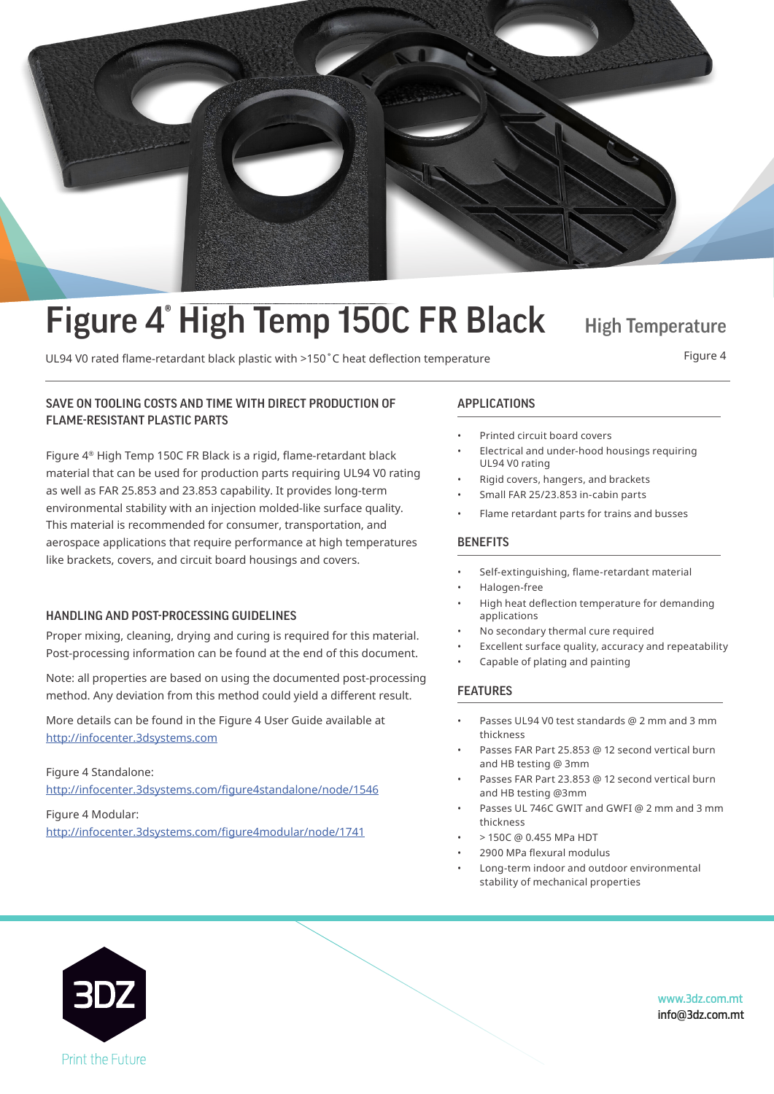

# Figure 4<sup>°</sup> High Temp 150C FR Black High Temperature

Figure 4<br>UL94 V0 rated flame-retardant black plastic with >150°C heat deflection temperature Figure 4

#### UL94 V0 rated flame-retardant black plastic with plastic with  $\frac{1}{1500}$  heat defined temperature  $\frac{1}{1500}$ SAVE ON TOOLING COSTS AND TIME WITH DIRECT PRODUCTION OF APPLICATIONS FLAME-RESISTANT PLASTIC PARTS

Figure  $4^\circ$  High Temp 150C FR Black is a rigid, flame-retardant black as well as FAR 25.853 and 23.853 capability. It provides long-term environmental stability with an injection molded-like surface quality. This material is recommended for consumer, transportation, and aerospace applications that require performance at high temperatures like brackets, covers, and circuit board housings and covers. material that can be used for production parts requiring UL94 V0 rating

#### HANDLING AND POST-PROCESSING GUIDELINES

Post-processing information can be found at the end of this document. Proper mixing, cleaning, drying and curing is required for this material.

Note: all properties are based on using the documented post-processing method. Any deviation from this method could yield a different result.

More details can be found in the Figure 4 User Guide available at<br>http://infocenter.3dsystems.com

Figure 4 Standalone: The Figure at  $\sigma$ http://infocenter.3dsystems.com http://infocenter.3dsystems.com/figure4standalone/node/1546 Figure 4 Modular:

http://infocenter.3dsystems.com/figure4modular/node/1741

*Note: Not all products and materials are available in all countries —* 

- SAVE ON TOOLS AND THE ONLY THE CONTROL CONTROL CONTROL CONTROL CONTROL CONTROL CONTROL CONTROL CONTROL CONTROL CONTROL CONTROL CONTROL CONTROL CONTROL CONTROL CONTROL CONTROL CONTROL CONTROL CONTROL CONTROL CONTROL CONTROL Printed circuit board covers
	- Electrical and under-hood housings requiring UL94 V0 rating
		- Rigid covers, hangers, and brackets
	- $emall EAD 25/23 853 in-cabin narte$ • Small FAR 25/23.853 in-cabin parts
	- Flame retardant parts for trains and busses

### **BENEFITS**

- Flame retardant parts for trains and busses • Self-extinguishing, flame-retardant material
- Halogen-free
- $applications$ • High heat deflection temperature for demanding
- No secondary thermal cure required
- Excellent surface quality, accuracy and repeatability
- Capable of plating and painting

#### • Excellent surface quality, accuracy and repeatability FEATURES

- Passes UL94 V0 test standards @ 2 mm and 3 mm thickness
- FEATURES Passes FAR Part 25.853 @ 12 second vertical burn and HB testing @ 3mm
- Passes FAR Part 23.853 @ 12 second vertical burn and HB testing @3mm
- Passes UL 746C GWIT and GWFI @ 2 mm and 3 mm thickness
- $\bullet$  > 150C @ 0.455 MPa HDT
- 2900 MPa flexural modulus
- Long-term indoor and outdoor environmental stability of mechanical properties



www.3dz.com.mt info@3dz.com.mt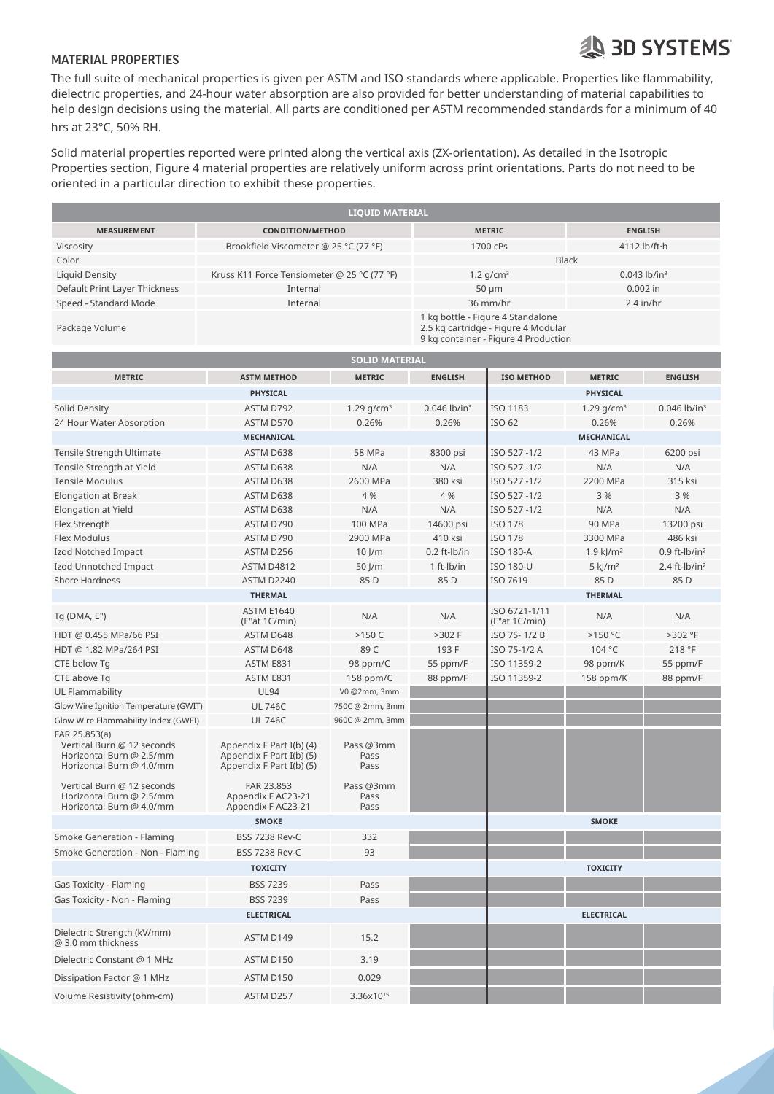### **SD SYSTEMS**

### MATERIAL PROPERTIES

The full suite of mechanical properties is given per ASTM and ISO standards where applicable. Properties like flammability, dielectric properties, and 24-hour water absorption are also provided for better understanding of material capabilities to help design decisions using the material. All parts are conditioned per ASTM recommended standards for a minimum of 40 hrs at 23°C, 50% RH.  $\blacksquare$ 

Solid material properties reported were printed along the vertical axis (ZX-orientation). As detailed in the Isotropic Properties section, Figure 4 material properties are relatively uniform across print orientations. Parts do not need to be oriented in a particular direction to exhibit these properties.

| <b>LIQUID MATERIAL</b>        |                                             |                                                                          |                            |  |  |  |  |
|-------------------------------|---------------------------------------------|--------------------------------------------------------------------------|----------------------------|--|--|--|--|
| <b>MEASUREMENT</b>            | <b>CONDITION/METHOD</b>                     | <b>METRIC</b>                                                            | <b>ENGLISH</b>             |  |  |  |  |
| Viscosity                     | Brookfield Viscometer @ 25 °C (77 °F)       | 1700 cPs                                                                 | 4112 $\frac{b}{ft}$        |  |  |  |  |
| Color                         |                                             | <b>Black</b>                                                             |                            |  |  |  |  |
| Liquid Density                | Kruss K11 Force Tensiometer @ 25 °C (77 °F) | $1.2$ g/cm <sup>3</sup>                                                  | $0.043$ lb/in <sup>3</sup> |  |  |  |  |
| Default Print Layer Thickness | Internal                                    | $50 \mu m$                                                               | $0.002$ in                 |  |  |  |  |
| Speed - Standard Mode         | Internal                                    | 36 mm/hr                                                                 | $2.4$ in/hr                |  |  |  |  |
| Package Volume                |                                             | 1 kg bottle - Figure 4 Standalone<br>2.5 kg cartridge - Figure 4 Modular |                            |  |  |  |  |

**SOLID MATERIAL**

9 kg container - Figure 4 Production

| <b>SOLID MATERIAL</b>                                                                               |                                                                                  |                           |                            |                                |                         |                             |  |  |
|-----------------------------------------------------------------------------------------------------|----------------------------------------------------------------------------------|---------------------------|----------------------------|--------------------------------|-------------------------|-----------------------------|--|--|
| <b>METRIC</b>                                                                                       | <b>ASTM METHOD</b>                                                               | <b>METRIC</b>             | <b>ENGLISH</b>             | <b>ISO METHOD</b>              | <b>METRIC</b>           | <b>ENGLISH</b>              |  |  |
| <b>PHYSICAL</b>                                                                                     |                                                                                  |                           |                            | PHYSICAL                       |                         |                             |  |  |
| Solid Density                                                                                       | ASTM D792                                                                        | 1.29 $g/cm^{3}$           | $0.046$ lb/in <sup>3</sup> | <b>ISO 1183</b>                | 1.29 $q/cm^3$           | $0.046$ lb/in <sup>3</sup>  |  |  |
| 24 Hour Water Absorption                                                                            | ASTM D570                                                                        | 0.26%                     | 0.26%                      | ISO 62                         | 0.26%                   | 0.26%                       |  |  |
|                                                                                                     | MECHANICAL                                                                       |                           |                            | MECHANICAL                     |                         |                             |  |  |
| Tensile Strength Ultimate                                                                           | ASTM D638                                                                        | 58 MPa                    | 8300 psi                   | ISO 527-1/2                    | 43 MPa                  | 6200 psi                    |  |  |
| Tensile Strength at Yield                                                                           | ASTM D638                                                                        | N/A                       | N/A                        | ISO 527-1/2                    | N/A                     | N/A                         |  |  |
| <b>Tensile Modulus</b>                                                                              | ASTM D638                                                                        | 2600 MPa                  | 380 ksi                    | ISO 527-1/2                    | 2200 MPa                | 315 ksi                     |  |  |
| Elongation at Break                                                                                 | ASTM D638                                                                        | 4 %                       | 4 %                        | ISO 527-1/2                    | 3 %                     | 3 %                         |  |  |
| Elongation at Yield                                                                                 | ASTM D638                                                                        | N/A                       | N/A                        | ISO 527-1/2                    | N/A                     | N/A                         |  |  |
| Flex Strength                                                                                       | ASTM D790                                                                        | 100 MPa                   | 14600 psi                  | <b>ISO 178</b>                 | 90 MPa                  | 13200 psi                   |  |  |
| Flex Modulus                                                                                        | ASTM D790                                                                        | 2900 MPa                  | 410 ksi                    | <b>ISO 178</b>                 | 3300 MPa                | 486 ksi                     |  |  |
| Izod Notched Impact                                                                                 | ASTM D256                                                                        | $10$ J/m                  | 0.2 ft-lb/in               | <b>ISO 180-A</b>               | $1.9$ kJ/m <sup>2</sup> | $0.9$ ft-lb/in <sup>2</sup> |  |  |
| Izod Unnotched Impact                                                                               | ASTM D4812                                                                       | 50 J/m                    | 1 ft-lb/in                 | <b>ISO 180-U</b>               | $5$ kJ/m <sup>2</sup>   | 2.4 ft- $lb/in^2$           |  |  |
| <b>Shore Hardness</b>                                                                               | <b>ASTM D2240</b>                                                                | 85 D                      | 85 D                       | ISO 7619                       | 85 D                    | 85 D                        |  |  |
|                                                                                                     | <b>THERMAL</b>                                                                   |                           |                            |                                | <b>THERMAL</b>          |                             |  |  |
| $Tg$ (DMA, E")                                                                                      | <b>ASTM E1640</b><br>(E"at 1C/min)                                               | N/A                       | N/A                        | ISO 6721-1/11<br>(E"at 1C/min) | N/A                     | N/A                         |  |  |
| HDT @ 0.455 MPa/66 PSI                                                                              | ASTM D648                                                                        | $>150$ C                  | $>302$ F                   | ISO 75-1/2 B                   | >150 °C                 | >302 °F                     |  |  |
| HDT @ 1.82 MPa/264 PSI                                                                              | ASTM D648                                                                        | 89 C                      | 193 F                      | ISO 75-1/2 A                   | 104 °C                  | 218 °F                      |  |  |
| CTE below Tq                                                                                        | ASTM E831                                                                        | 98 ppm/C                  | 55 ppm/F                   | ISO 11359-2                    | 98 ppm/K                | 55 ppm/F                    |  |  |
| CTE above Tq                                                                                        | ASTM E831                                                                        | 158 ppm/C                 | 88 ppm/F                   | ISO 11359-2                    | 158 ppm/K               | 88 ppm/F                    |  |  |
| UL Flammability                                                                                     | <b>UL94</b>                                                                      | V0 @2mm, 3mm              |                            |                                |                         |                             |  |  |
| Glow Wire Ignition Temperature (GWIT)                                                               | <b>UL746C</b>                                                                    | 750C @ 2mm, 3mm           |                            |                                |                         |                             |  |  |
| Glow Wire Flammability Index (GWFI)                                                                 | <b>UL746C</b>                                                                    | 960C @ 2mm, 3mm           |                            |                                |                         |                             |  |  |
| FAR 25.853(a)<br>Vertical Burn @ 12 seconds<br>Horizontal Burn @ 2.5/mm<br>Horizontal Burn @ 4.0/mm | Appendix F Part I(b) (4)<br>Appendix F Part I(b) (5)<br>Appendix F Part I(b) (5) | Pass @3mm<br>Pass<br>Pass |                            |                                |                         |                             |  |  |
| Vertical Burn @ 12 seconds<br>Horizontal Burn @ 2.5/mm<br>Horizontal Burn @ 4.0/mm                  | FAR 23.853<br>Appendix F AC23-21<br>Appendix F AC23-21                           | Pass @3mm<br>Pass<br>Pass |                            |                                |                         |                             |  |  |
|                                                                                                     | <b>SMOKE</b>                                                                     |                           |                            |                                | <b>SMOKE</b>            |                             |  |  |
| Smoke Generation - Flaming                                                                          | <b>BSS 7238 Rev-C</b>                                                            | 332                       |                            |                                |                         |                             |  |  |
| Smoke Generation - Non - Flaming                                                                    | <b>BSS 7238 Rev-C</b>                                                            | 93                        |                            |                                |                         |                             |  |  |
|                                                                                                     |                                                                                  | <b>TOXICITY</b>           |                            |                                |                         |                             |  |  |
| Gas Toxicity - Flaming                                                                              | <b>BSS 7239</b>                                                                  | Pass                      |                            |                                |                         |                             |  |  |
| Gas Toxicity - Non - Flaming                                                                        | <b>BSS 7239</b>                                                                  | Pass                      |                            |                                |                         |                             |  |  |
| <b>ELECTRICAL</b>                                                                                   |                                                                                  |                           |                            |                                | <b>ELECTRICAL</b>       |                             |  |  |
| Dielectric Strength (kV/mm)<br>@ 3.0 mm thickness                                                   | ASTM D149                                                                        | 15.2                      |                            |                                |                         |                             |  |  |
| Dielectric Constant @ 1 MHz                                                                         | ASTM D150                                                                        | 3.19                      |                            |                                |                         |                             |  |  |
| Dissipation Factor @ 1 MHz                                                                          | ASTM D150                                                                        | 0.029                     |                            |                                |                         |                             |  |  |
| Volume Resistivity (ohm-cm)                                                                         | ASTM D257                                                                        | 3.36x10 <sup>15</sup>     |                            |                                |                         |                             |  |  |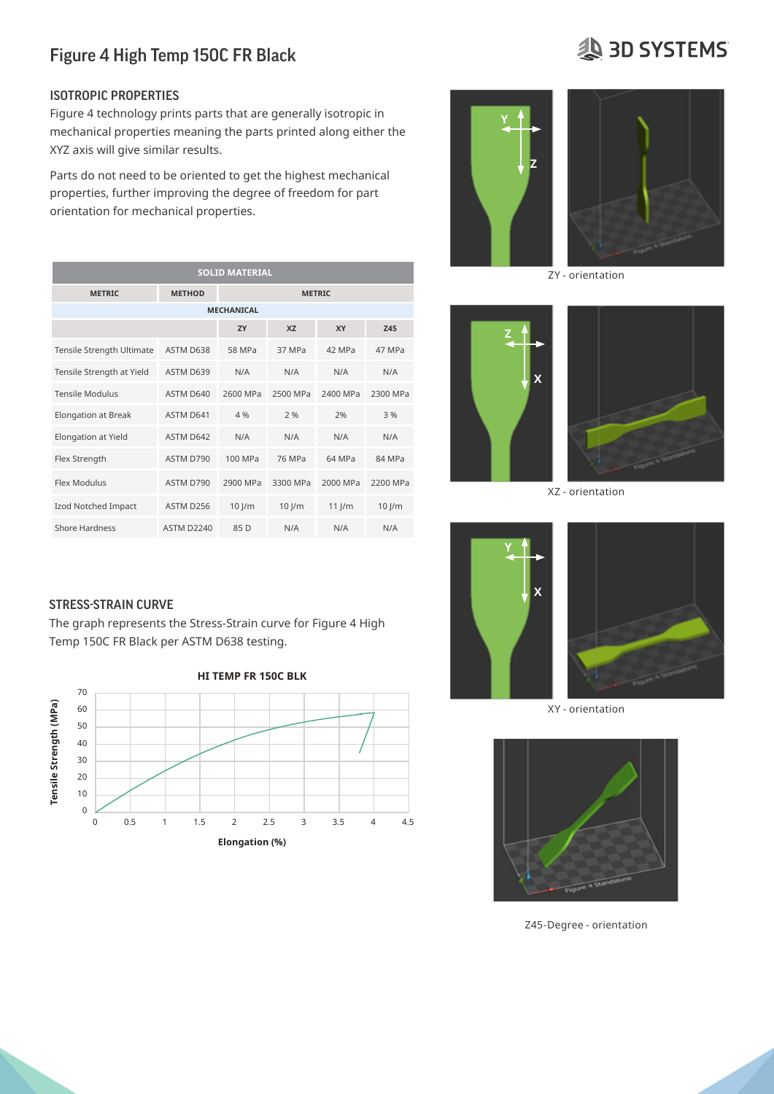#### ISOTROPIC PROPERTIES

Figure 4 technology prints parts that are generally isotropic in  $\,$  mechanical properties meaning the parts printed along either the  $\,$ XYZ axis will give similar results.

Parts do not need to be oriented to get the highest mechanical properties, further improving the degree of freedom for part orientation for mechanical properties.

| <b>SOLID MATERIAL</b>     |                   |               |           |          |            |  |  |  |  |  |  |
|---------------------------|-------------------|---------------|-----------|----------|------------|--|--|--|--|--|--|
| <b>METRIC</b>             | <b>METHOD</b>     | <b>METRIC</b> |           |          |            |  |  |  |  |  |  |
| <b>MECHANICAL</b>         |                   |               |           |          |            |  |  |  |  |  |  |
|                           |                   | <b>7Y</b>     | <b>X7</b> | XY       | <b>Z45</b> |  |  |  |  |  |  |
| Tensile Strength Ultimate | ASTM D638         | 58 MPa        | 37 MPa    | 42 MPa   | 47 MPa     |  |  |  |  |  |  |
| Tensile Strength at Yield | ASTM D639         | N/A           | N/A       | N/A      | N/A        |  |  |  |  |  |  |
| <b>Tensile Modulus</b>    | ASTM D640         | 2600 MPa      | 2500 MPa  | 2400 MPa | 2300 MPa   |  |  |  |  |  |  |
| Elongation at Break       | ASTM D641         | 4 %           | 2%        | 2%       | 3%         |  |  |  |  |  |  |
| Elongation at Yield       | ASTM D642         | N/A           | N/A       | N/A      | N/A        |  |  |  |  |  |  |
| Flex Strength             | ASTM D790         | 100 MPa       | 76 MPa    | 64 MPa   | 84 MPa     |  |  |  |  |  |  |
| Flex Modulus              | ASTM D790         | 2900 MPa      | 3300 MPa  | 2000 MPa | 2200 MPa   |  |  |  |  |  |  |
| Izod Notched Impact       | ASTM D256         | $10$ J/m      | $10$ J/m  | $11$ J/m | $10$ J/m   |  |  |  |  |  |  |
| <b>Shore Hardness</b>     | <b>ASTM D2240</b> | 85 D          | N/A       | N/A      | N/A        |  |  |  |  |  |  |

#### STRESS-STRAIN CURVE **Example 2024**

The graph represents the Stress-Strain curve for Figure 4 High Temp 150C FR Black per ASTM D638 testing.





ZY - orientation



XZ - orientation



XY - orientation



Z45-Degree - orientation

## **AD SYSTEMS**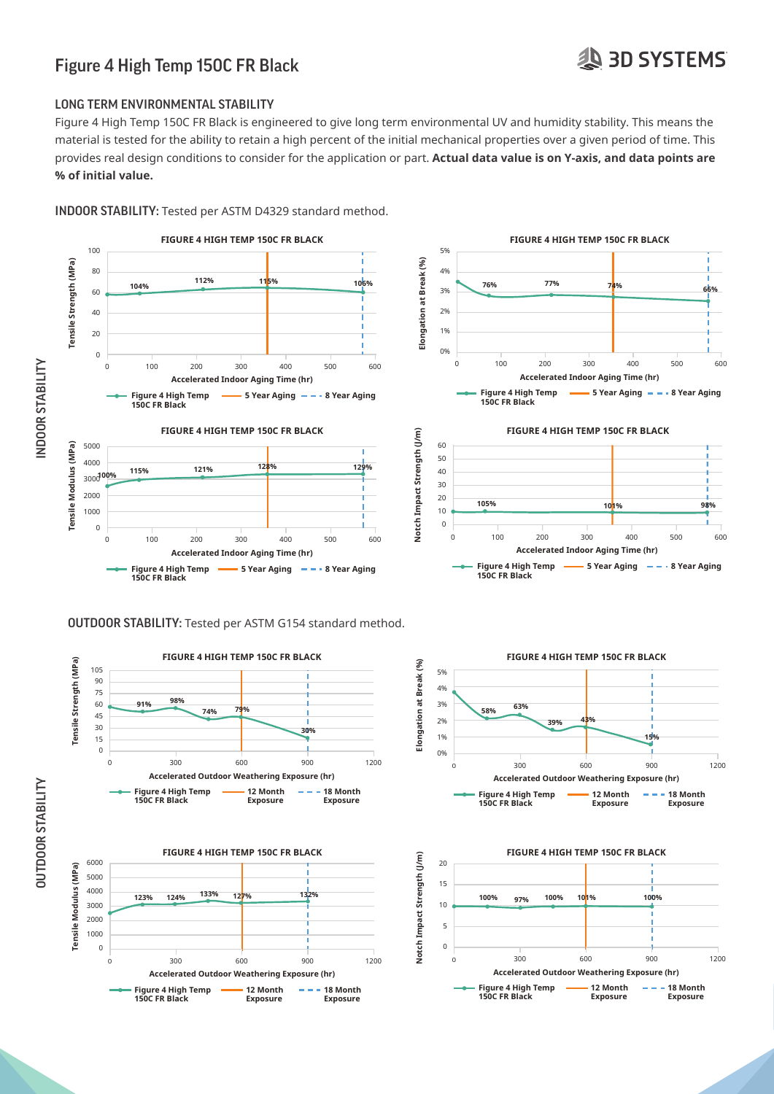### **19 3D SYSTEMS**

### Figure 4 High Temp 150C FR Black

#### LONG TERM ENVIRONMENTAL STABILITY

Figure 4 High Temp 150C FR Black is engineered to give long term environmental UV and humidity stability. This means the material is tested for the ability to retain a high percent of the initial mechanical properties over a given period of time. This material is tested for the ability to retain a high percent of the initial mechanical prope provides real design conditions to consider for the application or part. **Actual data value is on Y-axis, and data points are**  % of initial value.

INDOOR STABILITY: Tested per ASTM D4329 standard method.



#### OUTDOOR STABILITY: Tested per ASTM G154 standard method.



**Exposure**

**Exposure**

**150C FR Black**



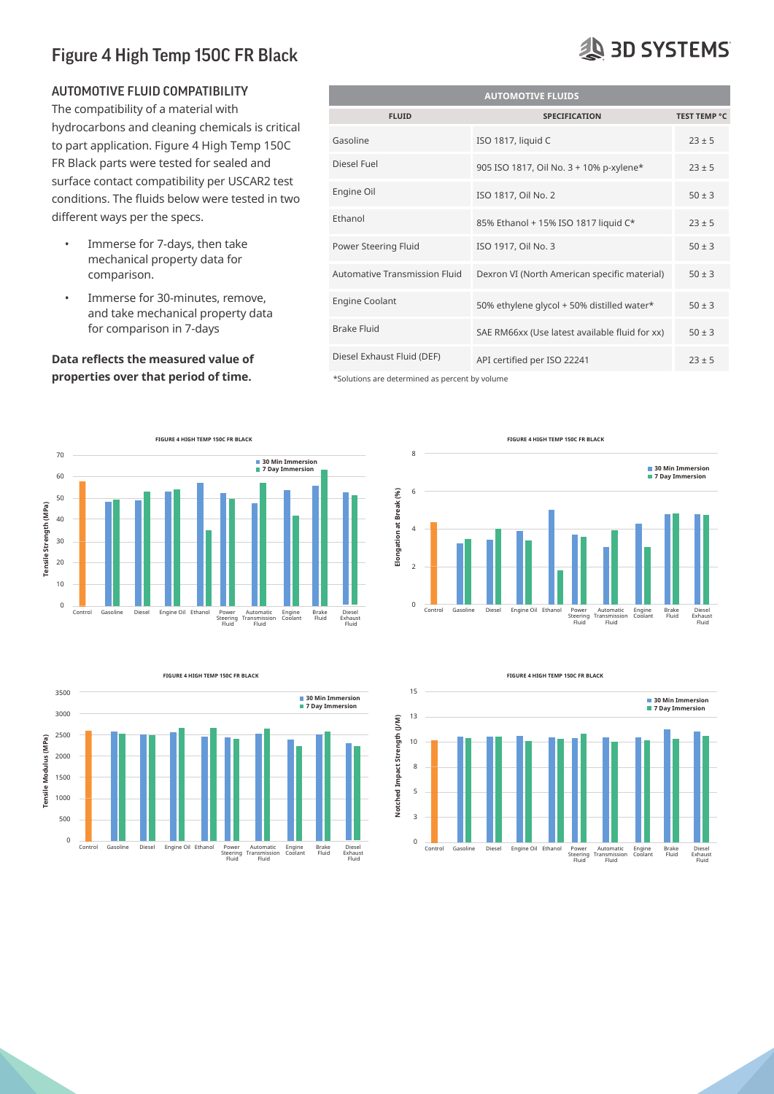#### AUTOMOTIVE FLUID COMPATIBILITY

The compatibility of a material with hydrocarbons and cleaning chemicals is critical  $\frac{1}{2}$ to part application. Figure 4 High Temp 150C FR Black parts were tested for sealed and surface contact compatibility per USCAR2 test ISOTROPIC PROPERTIES Engine Oil<br>
Conditions. The fluids below were tested in two different ways per the specs.<br>different ways per the specs.  $\mathcal{L}$  axis will give similar results.

- Immerse for 7-days, then take minicise for y days, then take<br>
mechanical property data for **comparison.**<br>**Properties** 
	- Immerse for 30-minutes, remove, and take mechanical property data for comparison in 7-days

#### **Data reflects the measured value of referred properties over that period of time.**



### **AUTOMOTIVE FLUIDS FLUID SPECIFICATION TEST TEMP °C** Gasoline ISO 1817, liquid C  $23 \pm 5$ Diesel Fuel 905 ISO 1817, Oil No. 3 + 10% p-xylene\* 23 ± 5 **Engine Oil** ISO 1817, Oil No. 2 50 ± 3 Ethanol 85% Ethanol + 15% ISO 1817 liquid C\* 23 ± 5 Power Steering Fluid ISO 1917, Oil No. 3 50 ± 3 Automative Transmission Fluid Dexron VI (North American specific material)  $50 \pm 3$ Engine Coolant 50% ethylene glycol + 50% distilled water\* 50 ± 3 Brake Fluid SAE RM66xx (Use latest available fluid for xx)  $50 \pm 3$ Diesel Exhaust Fluid (DEF) API certified per ISO 22241 **ISO 1917, Oil No. 3**

\*Solutions are determined as percent by volume



**FIGURE 4 HIGH TEMP 150C FR BLACK**





**FIGURE 4 HIGH TEMP 150C FR BLACK**

Steering Fluid

## **AS 3D SYSTEMS**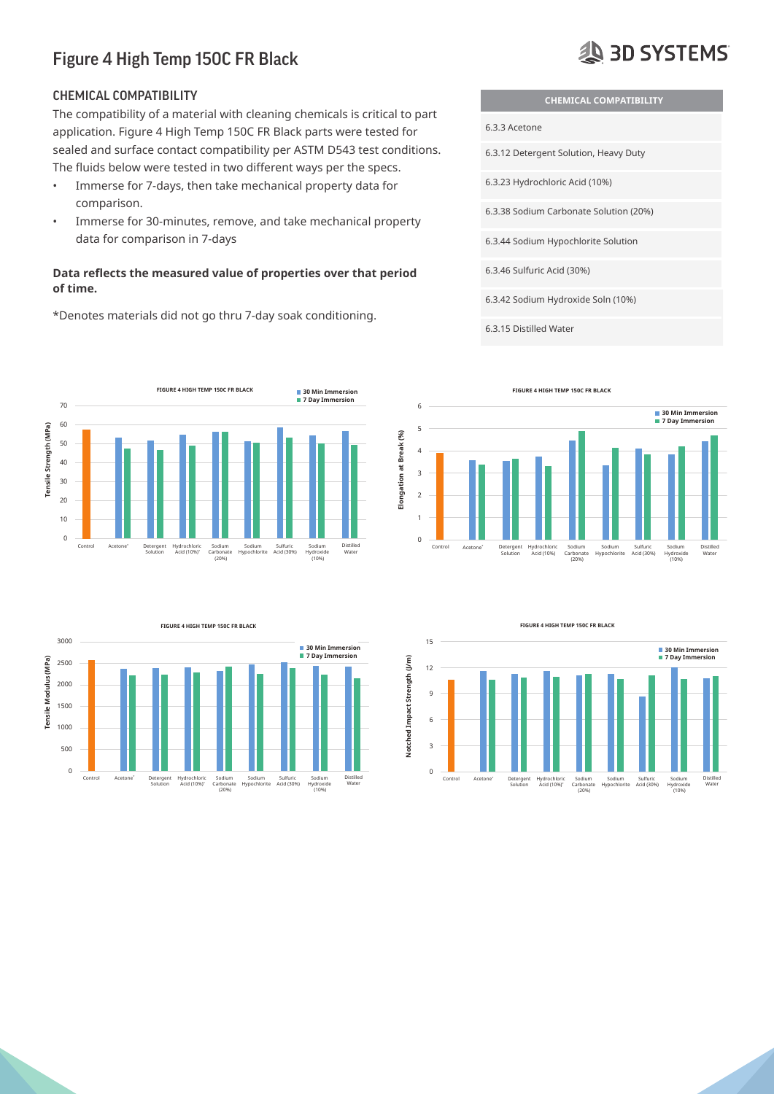#### CHEMICAL COMPATIBILITY

The compatibility of a material with cleaning chemicals is critical to part application. Figure 4 High Temp 150C FR Black parts were tested for Figure 4 High Temp 150C FR Black sealed and surface contact compatibility per ASTM D543 test conditions. The fluids below were tested in two different ways per the specs.

- $\bm{\cdot}$  Immerse for 7-days, then take mechanical property data for comparison. companion.
- Immerse for 30-minutes, remove, and take mechanical property data for comparison in 7-days  $\frac{1}{2}$  and  $\frac{1}{2}$  are not be similar results.

#### **Data reflects the measured value of properties over that period** of time. *Commentation for mechanical* **properties.**

**FIGURE 4 HIGH TEMP 150C FR BLACK 30 Min Immersion**  $\blacksquare$  7 Day Immersion 70 60 Tensile Strength (MPa)  $T_{\rm c}$  strength Ultimate Astman D638  $-$ **Tensile Strength (MPa)** 50 Tensile Strength at Yield ASTM D639 N/A N/A N/A N/A 40 Tensile Modulus ASTM D640 2600 MPa 2500 MPa 2400 MPa 2300 MPa 30 Elongation at Break ASTM D641 4 % 2 % 2% 3 % 20 Elongation at Yield ASTM D642 N/A N/A N/A N/A 10 Flex Strength ASTM D790 100 MPa 76 MPa 64 MPa 84 MPa  $\overline{0}$ Control Acetone\* Detergent Solution Hydrochloric Acid (10%)\* Sodium Carbonate (20%) Sodium Hypochlorite Sulfuric Acid (30%) Sodium Hydroxide (10%) Distilled Water



\*Denotes materials did not go thru 7-day soak conditioning.

**AS 3D SYSTEMS** 

- **CHEMICAL COMPATIBILITY**
- 6.3.3 Acetone
- 6.3.12 Detergent Solution, Heavy Duty
- 6.3.23 Hydrochloric Acid (10%)
- 6.3.38 Sodium Carbonate Solution (20%)
- 6.3.44 Sodium Hypochlorite Solution **Z**
- 6.3.46 Sulfuric Acid (30%)
- 6.3.42 Sodium Hydroxide Soln (10%)
- 6.3.15 Distilled Water







**FIGURE 4 HIGH TEMP 150C FR BLACK**